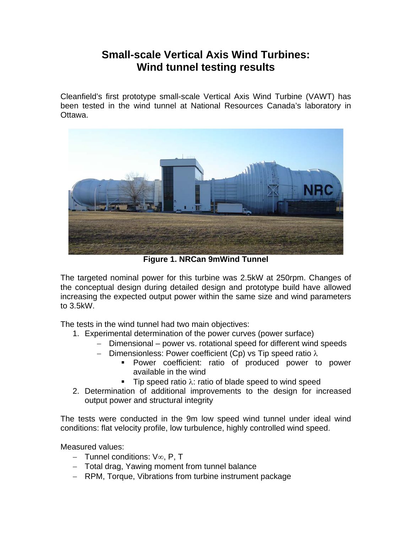## **Small-scale Vertical Axis Wind Turbines: Wind tunnel testing results**

Cleanfield's first prototype small-scale Vertical Axis Wind Turbine (VAWT) has been tested in the wind tunnel at National Resources Canada's laboratory in Ottawa.



**Figure 1. NRCan 9mWind Tunnel** 

The targeted nominal power for this turbine was 2.5kW at 250rpm. Changes of the conceptual design during detailed design and prototype build have allowed increasing the expected output power within the same size and wind parameters to 3.5kW.

The tests in the wind tunnel had two main objectives:

- 1. Experimental determination of the power curves (power surface)
	- − Dimensional power vs. rotational speed for different wind speeds
	- − Dimensionless: Power coefficient (Cp) vs Tip speed ratio λ
		- **Power coefficient: ratio of produced power to power** available in the wind
		- Tip speed ratio  $\lambda$ : ratio of blade speed to wind speed
- 2. Determination of additional improvements to the design for increased output power and structural integrity

The tests were conducted in the 9m low speed wind tunnel under ideal wind conditions: flat velocity profile, low turbulence, highly controlled wind speed.

Measured values:

- − Tunnel conditions: V∞, P, T
- − Total drag, Yawing moment from tunnel balance
- − RPM, Torque, Vibrations from turbine instrument package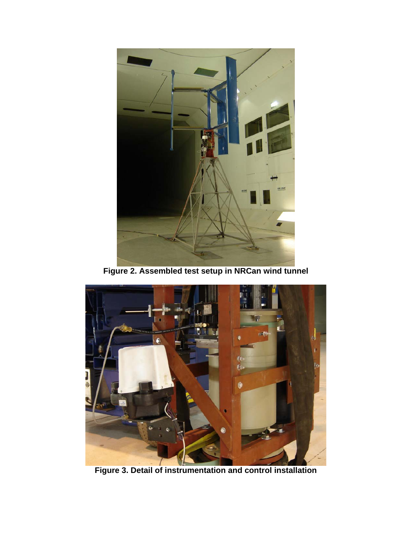

**Figure 2. Assembled test setup in NRCan wind tunnel** 



**Figure 3. Detail of instrumentation and control installation**